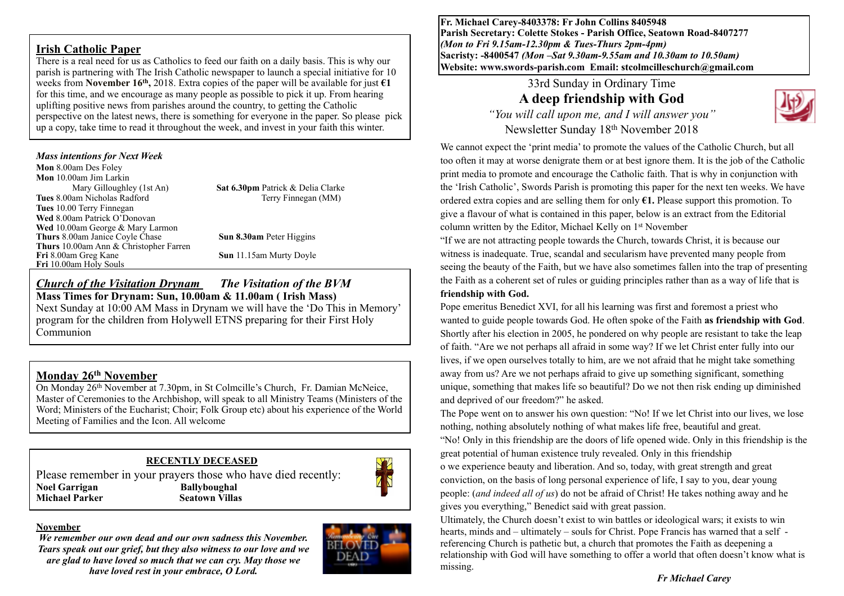#### **Irish Catholic Paper**

There is a real need for us as Catholics to feed our faith on a daily basis. This is why our parish is partnering with The Irish Catholic newspaper to launch a special initiative for 10 weeks from **November 16<sup>th</sup>**, 2018. Extra copies of the paper will be available for just  $\epsilon$ **1** for this time, and we encourage as many people as possible to pick it up. From hearing uplifting positive news from parishes around the country, to getting the Catholic perspective on the latest news, there is something for everyone in the paper. So please pick up a copy, take time to read it throughout the week, and invest in your faith this winter.

#### *Mass intentions for Next Week*

**Mon** 8.00am Des Foley **Mon** 10.00am Jim Larkin Mary Gilloughley (1st An) **Sat 6.30pm** Patrick & Delia Clarke **Tues** 8.00am Nicholas Radford Terry Finnegan (MM) **Tues** 10.00 Terry Finnegan **Wed** 8.00am Patrick O'Donovan **Wed** 10.00am George & Mary Larmon **Thurs** 8.00am Janice Coyle Chase **Sun 8.30am** Peter Higgins **Thurs** 10.00am Ann & Christopher Farren **Fri** 10.00am Holy Souls

**Sun** 11.15am Murty Doyle

#### *Church of the Visitation Drynam**The Visitation of the BVM* **Mass Times for Drynam: Sun, 10.00am & 11.00am ( Irish Mass)**

Next Sunday at 10:00 AM Mass in Drynam we will have the 'Do This in Memory' program for the children from Holywell ETNS preparing for their First Holy Communion

# **Monday 26th November**

On Monday 26th November at 7.30pm, in St Colmcille's Church, Fr. Damian McNeice, Master of Ceremonies to the Archbishop, will speak to all Ministry Teams (Ministers of the Word; Ministers of the Eucharist; Choir; Folk Group etc) about his experience of the World Meeting of Families and the Icon. All welcome

# **RECENTLY DECEASED**

Please remember in your prayers those who have died recently: **Noel Garrigan Ballyboughal Michael Parker Seatown Villas**



#### **November**

*We remember our own dead and our own sadness this November. Tears speak out our grief, but they also witness to our love and we are glad to have loved so much that we can cry. May those we have loved rest in your embrace, O Lord.* 



**Fr. Michael Carey-8403378: Fr John Collins 8405948 Parish Secretary: Colette Stokes - Parish Office, Seatown Road-8407277**  *(Mon to Fri 9.15am-12.30pm & Tues-Thurs 2pm-4pm)*  **Sacristy: -8400547** *(Mon –Sat 9.30am-9.55am and 10.30am to 10.50am)* **Website: [www.swords-parish.com Email:](http://www.swords-parish.com%20%20email) stcolmcilleschurch@gmail.com**

# 33rd Sunday in Ordinary Time **A deep friendship with God**

*"You will call upon me, and I will answer you"*  Newsletter Sunday 18th November 2018



We cannot expect the 'print media' to promote the values of the Catholic Church, but all too often it may at worse denigrate them or at best ignore them. It is the job of the Catholic print media to promote and encourage the Catholic faith. That is why in conjunction with the 'Irish Catholic', Swords Parish is promoting this paper for the next ten weeks. We have ordered extra copies and are selling them for only **€1.** Please support this promotion. To give a flavour of what is contained in this paper, below is an extract from the Editorial column written by the Editor, Michael Kelly on 1st November

"If we are not attracting people towards the Church, towards Christ, it is because our witness is inadequate. True, scandal and secularism have prevented many people from seeing the beauty of the Faith, but we have also sometimes fallen into the trap of presenting the Faith as a coherent set of rules or guiding principles rather than as a way of life that is **friendship with God.**

Pope emeritus Benedict XVI, for all his learning was first and foremost a priest who wanted to guide people towards God. He often spoke of the Faith **as friendship with God**. Shortly after his election in 2005, he pondered on why people are resistant to take the leap of faith. "Are we not perhaps all afraid in some way? If we let Christ enter fully into our lives, if we open ourselves totally to him, are we not afraid that he might take something away from us? Are we not perhaps afraid to give up something significant, something unique, something that makes life so beautiful? Do we not then risk ending up diminished and deprived of our freedom?" he asked.

The Pope went on to answer his own question: "No! If we let Christ into our lives, we lose nothing, nothing absolutely nothing of what makes life free, beautiful and great. "No! Only in this friendship are the doors of life opened wide. Only in this friendship is the great potential of human existence truly revealed. Only in this friendship o we experience beauty and liberation. And so, today, with great strength and great conviction, on the basis of long personal experience of life, I say to you, dear young people: (*and indeed all of us*) do not be afraid of Christ! He takes nothing away and he gives you everything," Benedict said with great passion.

Ultimately, the Church doesn't exist to win battles or ideological wars; it exists to win hearts, minds and – ultimately – souls for Christ. Pope Francis has warned that a self referencing Church is pathetic but, a church that promotes the Faith as deepening a relationship with God will have something to offer a world that often doesn't know what is missing.